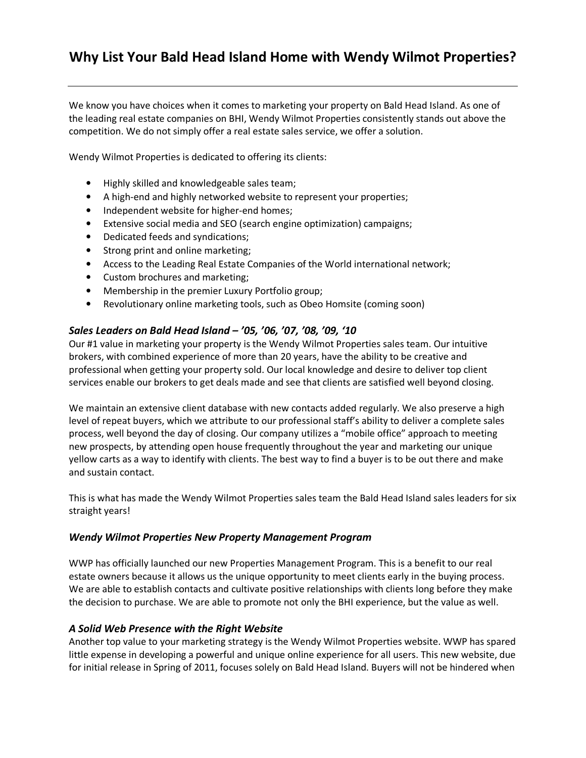# **Why List Your Bald Head Island Home with Wendy Wilmot Properties?**

We know you have choices when it comes to marketing your property on Bald Head Island. As one of the leading real estate companies on BHI, Wendy Wilmot Properties consistently stands out above the competition. We do not simply offer a real estate sales service, we offer a solution.

Wendy Wilmot Properties is dedicated to offering its clients:

- Highly skilled and knowledgeable sales team;
- A high-end and highly networked website to represent your properties;
- Independent website for higher-end homes;
- Extensive social media and SEO (search engine optimization) campaigns;
- Dedicated feeds and syndications;
- Strong print and online marketing;
- Access to the Leading Real Estate Companies of the World international network;
- Custom brochures and marketing;
- Membership in the premier Luxury Portfolio group;
- Revolutionary online marketing tools, such as Obeo Homsite (coming soon)

#### *Sales Leaders on Bald Head Island – '05, '06, '07, '08, '09, '10*

Our #1 value in marketing your property is the Wendy Wilmot Properties sales team. Our intuitive brokers, with combined experience of more than 20 years, have the ability to be creative and professional when getting your property sold. Our local knowledge and desire to deliver top client services enable our brokers to get deals made and see that clients are satisfied well beyond closing.

We maintain an extensive client database with new contacts added regularly. We also preserve a high level of repeat buyers, which we attribute to our professional staff's ability to deliver a complete sales process, well beyond the day of closing. Our company utilizes a "mobile office" approach to meeting new prospects, by attending open house frequently throughout the year and marketing our unique yellow carts as a way to identify with clients. The best way to find a buyer is to be out there and make and sustain contact.

This is what has made the Wendy Wilmot Properties sales team the Bald Head Island sales leaders for six straight years!

#### *Wendy Wilmot Properties New Property Management Program*

WWP has officially launched our new Properties Management Program. This is a benefit to our real estate owners because it allows us the unique opportunity to meet clients early in the buying process. We are able to establish contacts and cultivate positive relationships with clients long before they make the decision to purchase. We are able to promote not only the BHI experience, but the value as well.

#### *A Solid Web Presence with the Right Website*

Another top value to your marketing strategy is the Wendy Wilmot Properties website. WWP has spared little expense in developing a powerful and unique online experience for all users. This new website, due for initial release in Spring of 2011, focuses solely on Bald Head Island. Buyers will not be hindered when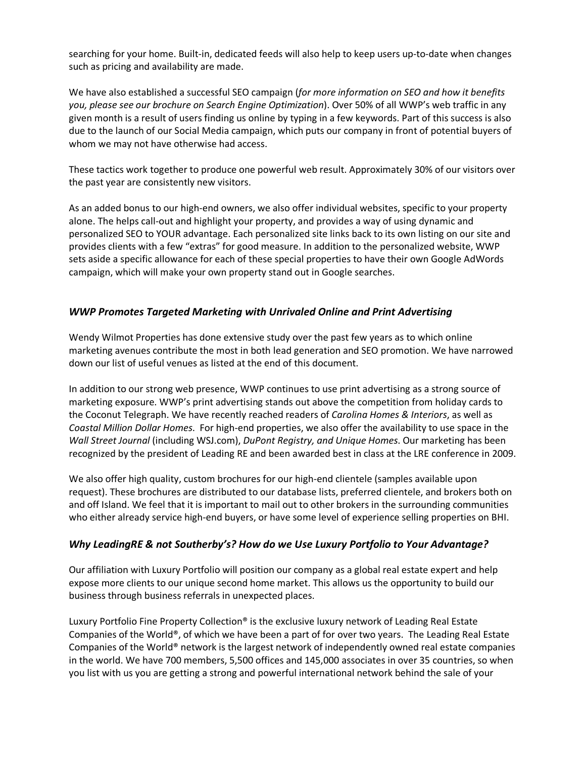searching for your home. Built-in, dedicated feeds will also help to keep users up-to-date when changes such as pricing and availability are made.

We have also established a successful SEO campaign (*for more information on SEO and how it benefits you, please see our brochure on Search Engine Optimization*). Over 50% of all WWP's web traffic in any given month is a result of users finding us online by typing in a few keywords. Part of this success is also due to the launch of our Social Media campaign, which puts our company in front of potential buyers of whom we may not have otherwise had access.

These tactics work together to produce one powerful web result. Approximately 30% of our visitors over the past year are consistently new visitors.

As an added bonus to our high-end owners, we also offer individual websites, specific to your property alone. The helps call-out and highlight your property, and provides a way of using dynamic and personalized SEO to YOUR advantage. Each personalized site links back to its own listing on our site and provides clients with a few "extras" for good measure. In addition to the personalized website, WWP sets aside a specific allowance for each of these special properties to have their own Google AdWords campaign, which will make your own property stand out in Google searches.

# *WWP Promotes Targeted Marketing with Unrivaled Online and Print Advertising*

Wendy Wilmot Properties has done extensive study over the past few years as to which online marketing avenues contribute the most in both lead generation and SEO promotion. We have narrowed down our list of useful venues as listed at the end of this document.

In addition to our strong web presence, WWP continues to use print advertising as a strong source of marketing exposure. WWP's print advertising stands out above the competition from holiday cards to the Coconut Telegraph. We have recently reached readers of *Carolina Homes & Interiors*, as well as *Coastal Million Dollar Homes*. For high-end properties, we also offer the availability to use space in the *Wall Street Journal* (including WSJ.com), *DuPont Registry, and Unique Homes*. Our marketing has been recognized by the president of Leading RE and been awarded best in class at the LRE conference in 2009.

We also offer high quality, custom brochures for our high-end clientele (samples available upon request). These brochures are distributed to our database lists, preferred clientele, and brokers both on and off Island. We feel that it is important to mail out to other brokers in the surrounding communities who either already service high-end buyers, or have some level of experience selling properties on BHI.

## *Why LeadingRE & not Southerby's? How do we Use Luxury Portfolio to Your Advantage?*

Our affiliation with Luxury Portfolio will position our company as a global real estate expert and help expose more clients to our unique second home market. This allows us the opportunity to build our business through business referrals in unexpected places.

Luxury Portfolio Fine Property Collection® is the exclusive luxury network of Leading Real Estate Companies of the World®, of which we have been a part of for over two years. The Leading Real Estate Companies of the World® network is the largest network of independently owned real estate companies in the world. We have 700 members, 5,500 offices and 145,000 associates in over 35 countries, so when you list with us you are getting a strong and powerful international network behind the sale of your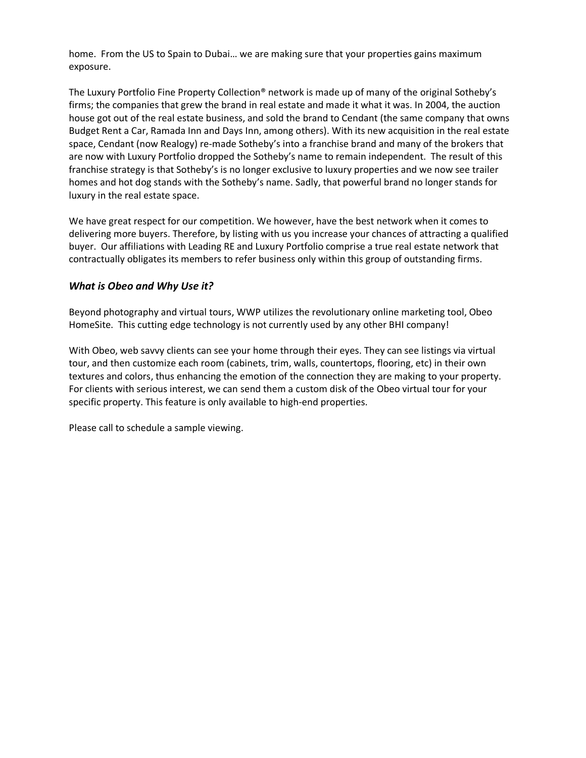home. From the US to Spain to Dubai… we are making sure that your properties gains maximum exposure.

The Luxury Portfolio Fine Property Collection® network is made up of many of the original Sotheby's firms; the companies that grew the brand in real estate and made it what it was. In 2004, the auction house got out of the real estate business, and sold the brand to Cendant (the same company that owns Budget Rent a Car, Ramada Inn and Days Inn, among others). With its new acquisition in the real estate space, Cendant (now Realogy) re-made Sotheby's into a franchise brand and many of the brokers that are now with Luxury Portfolio dropped the Sotheby's name to remain independent. The result of this franchise strategy is that Sotheby's is no longer exclusive to luxury properties and we now see trailer homes and hot dog stands with the Sotheby's name. Sadly, that powerful brand no longer stands for luxury in the real estate space.

We have great respect for our competition. We however, have the best network when it comes to delivering more buyers. Therefore, by listing with us you increase your chances of attracting a qualified buyer. Our affiliations with Leading RE and Luxury Portfolio comprise a true real estate network that contractually obligates its members to refer business only within this group of outstanding firms.

## *What is Obeo and Why Use it?*

Beyond photography and virtual tours, WWP utilizes the revolutionary online marketing tool, Obeo HomeSite. This cutting edge technology is not currently used by any other BHI company!

With Obeo, web savvy clients can see your home through their eyes. They can see listings via virtual tour, and then customize each room (cabinets, trim, walls, countertops, flooring, etc) in their own textures and colors, thus enhancing the emotion of the connection they are making to your property. For clients with serious interest, we can send them a custom disk of the Obeo virtual tour for your specific property. This feature is only available to high-end properties.

Please call to schedule a sample viewing.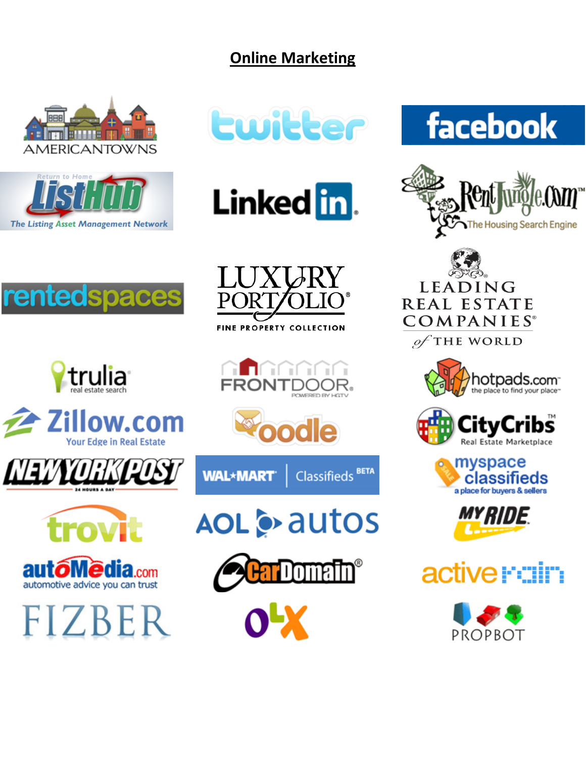# **Online Marketing**

































WAL\*MART\* Classifieds<sup>BETA</sup>





 $O^L X$ 



of THE WORLD